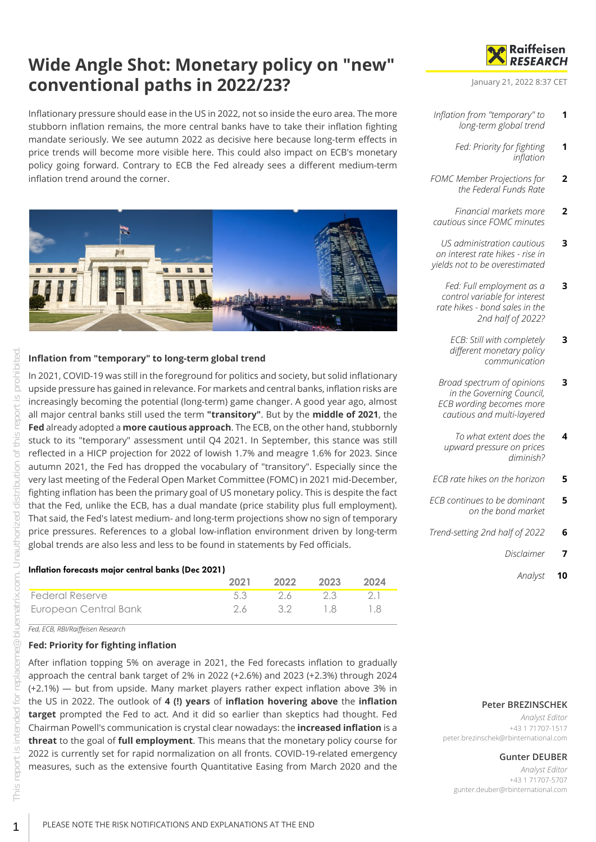# **Wide Angle Shot: Monetary policy on "new" conventional paths in 2022/23?**

Inflationary pressure should ease in the US in 2022, not so inside the euro area. The more stubborn inflation remains, the more central banks have to take their inflation fighting mandate seriously. We see autumn 2022 as decisive here because long-term effects in price trends will become more visible here. This could also impact on ECB's monetary policy going forward. Contrary to ECB the Fed already sees a different medium-term inflation trend around the corner.



#### <span id="page-0-0"></span>**Inflation from "temporary" to long-term global trend**

In 2021, COVID-19 was still in the foreground for politics and society, but solid inflationary upside pressure has gained in relevance. For markets and central banks, inflation risks are increasingly becoming the potential (long-term) game changer. A good year ago, almost all major central banks still used the term **"transitory"**. But by the **middle of 2021**, the **Fed** already adopted a **more cautious approach**. The ECB, on the other hand, stubbornly stuck to its "temporary" assessment until Q4 2021. In September, this stance was still reflected in a HICP projection for 2022 of lowish 1.7% and meagre 1.6% for 2023. Since autumn 2021, the Fed has dropped the vocabulary of "transitory". Especially since the very last meeting of the Federal Open Market Committee (FOMC) in 2021 mid-December, fighting inflation has been the primary goal of US monetary policy. This is despite the fact that the Fed, unlike the ECB, has a dual mandate (price stability plus full employment). That said, the Fed's latest medium- and long-term projections show no sign of temporary price pressures. References to a global low-inflation environment driven by long-term global trends are also less and less to be found in statements by Fed officials.

#### Inflation forecasts major central banks (Dec 2021)

|                        | 2021 | 2022 | 2023 | 2024   |
|------------------------|------|------|------|--------|
| <b>Federal Reserve</b> | 5.3  | 26.  | -23- | - 21 - |
| European Central Bank  | 26.  | - 32 | - 18 |        |

*Fed, ECB, RBI/Raiffeisen Research*

## <span id="page-0-1"></span>**Fed: Priority for fighting inflation**

After inflation topping 5% on average in 2021, the Fed forecasts inflation to gradually approach the central bank target of 2% in 2022 (+2.6%) and 2023 (+2.3%) through 2024 (+2.1%) — but from upside. Many market players rather expect inflation above 3% in the US in 2022. The outlook of **4 (!) years** of **inflation hovering above** the **inflation target** prompted the Fed to act. And it did so earlier than skeptics had thought. Fed Chairman Powell's communication is crystal clear nowadays: the **increased inflation** is a **threat** to the goal of **full employment**. This means that the monetary policy course for 2022 is currently set for rapid normalization on all fronts. COVID-19-related emergency measures, such as the extensive fourth Quantitative Easing from March 2020 and the



January 21, 2022 8:37 CET

- *[Inflation from "temporary" to](#page-0-0) [long-term global trend](#page-0-0)* **1**
	- *[Fed: Priority for fighting](#page-0-1) [inflation](#page-0-1)* **1**
- *[FOMC Member Projections for](#page-1-0) [the Federal Funds Rate](#page-1-0)* **2**
- *[Financial markets more](#page-1-1) [cautious since FOMC minutes](#page-1-1)* **2**
- *[US administration cautious](#page-2-0) [on interest rate hikes - rise in](#page-2-0) [yields not to be overestimated](#page-2-0)* **3**
- *[Fed: Full employment as a](#page-2-1) [control variable for interest](#page-2-1) [rate hikes - bond sales in the](#page-2-1) [2nd half of 2022?](#page-2-1)* **3**
	- *[ECB: Still with completely](#page-2-2) [different monetary policy](#page-2-2) [communication](#page-2-2)* **3**
- *[Broad spectrum of opinions](#page-2-3) [in the Governing Council,](#page-2-3) [ECB wording becomes more](#page-2-3) [cautious and multi-layered](#page-2-3)* **3**
	- *[To what extent does the](#page-3-0) [upward pressure on prices](#page-3-0) [diminish?](#page-3-0)* **4**
- *[ECB rate hikes on the horizon](#page-4-0)* **5**
- *[ECB continues to be dominant](#page-4-1) [on the bond market](#page-4-1)* **5**
- *[Trend-setting 2nd half of 2022](#page-5-0)* **6**
	- *[Disclaimer](#page-6-0)* **7**
		- *[Analyst](#page-9-0)* **10**

#### **Peter BREZINSCHEK**

*Analyst Editor* +43 1 71707-1517 peter.brezinschek@rbinternational.com

#### **Gunter DEUBER**

*Analyst Editor* +43 1 71707-5707 gunter.deuber@rbinternational.com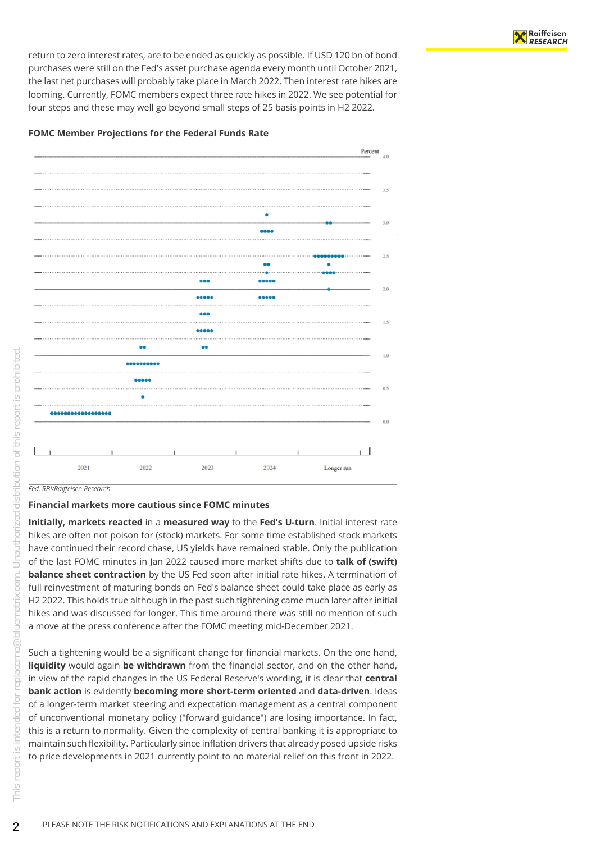return to zero interest rates, are to be ended as quickly as possible. If USD 120 bn of bond purchases were still on the Fed's asset purchase agenda every month until October 2021, the last net purchases will probably take place in March 2022. Then interest rate hikes are looming. Currently, FOMC members expect three rate hikes in 2022. We see potential for four steps and these may well go beyond small steps of 25 basis points in H2 2022.

#### <span id="page-1-0"></span>**FOMC Member Projections for the Federal Funds Rate**



*Fed, RBI/Raiffeisen Research*

#### <span id="page-1-1"></span>**Financial markets more cautious since FOMC minutes**

**Initially, markets reacted** in a **measured way** to the **Fed's U-turn**. Initial interest rate hikes are often not poison for (stock) markets. For some time established stock markets have continued their record chase, US yields have remained stable. Only the publication of the last FOMC minutes in Jan 2022 caused more market shifts due to **talk of (swift) balance sheet contraction** by the US Fed soon after initial rate hikes. A termination of full reinvestment of maturing bonds on Fed's balance sheet could take place as early as H2 2022. This holds true although in the past such tightening came much later after initial hikes and was discussed for longer. This time around there was still no mention of such a move at the press conference after the FOMC meeting mid-December 2021.

Such a tightening would be a significant change for financial markets. On the one hand, **liquidity** would again **be withdrawn** from the financial sector, and on the other hand, in view of the rapid changes in the US Federal Reserve's wording, it is clear that **central bank action** is evidently **becoming more short-term oriented** and **data-driven**. Ideas of a longer-term market steering and expectation management as a central component of unconventional monetary policy ("forward guidance") are losing importance. In fact, this is a return to normality. Given the complexity of central banking it is appropriate to maintain such flexibility. Particularly since inflation drivers that already posed upside risks to price developments in 2021 currently point to no material relief on this front in 2022.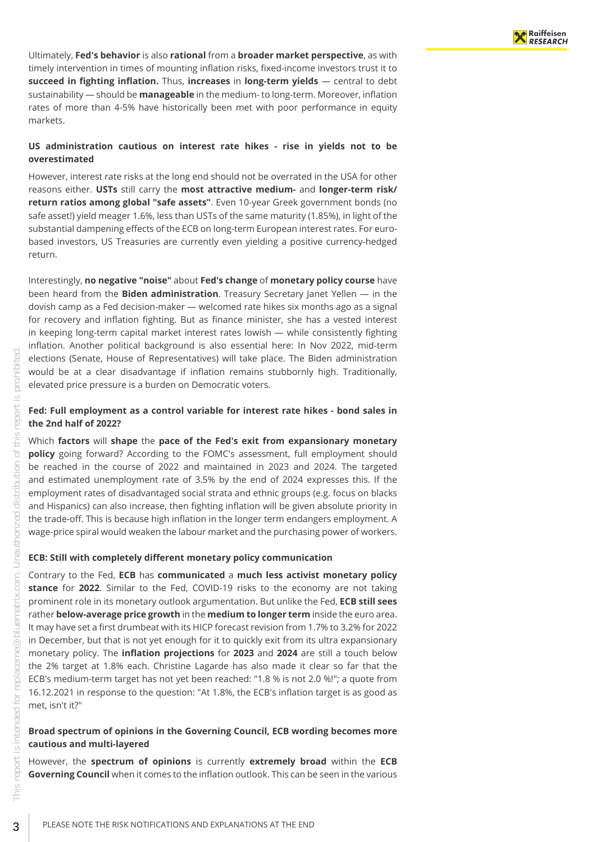Ultimately, **Fed's behavior** is also **rational** from a **broader market perspective**, as with timely intervention in times of mounting inflation risks, fixed-income investors trust it to **succeed in fighting inflation.** Thus, **increases** in **long-term yields** — central to debt sustainability — should be **manageable** in the medium- to long-term. Moreover, inflation rates of more than 4-5% have historically been met with poor performance in equity markets.

#### <span id="page-2-0"></span>**US administration cautious on interest rate hikes - rise in yields not to be overestimated**

However, interest rate risks at the long end should not be overrated in the USA for other reasons either. **USTs** still carry the **most attractive medium-** and **longer-term risk/ return ratios among global "safe assets"**. Even 10-year Greek government bonds (no safe asset!) yield meager 1.6%, less than USTs of the same maturity (1.85%), in light of the substantial dampening effects of the ECB on long-term European interest rates. For eurobased investors, US Treasuries are currently even yielding a positive currency-hedged return.

Interestingly, **no negative "noise"** about **Fed's change** of **monetary policy course** have been heard from the **Biden administration**. Treasury Secretary Janet Yellen — in the dovish camp as a Fed decision-maker — welcomed rate hikes six months ago as a signal for recovery and inflation fighting. But as finance minister, she has a vested interest in keeping long-term capital market interest rates lowish — while consistently fighting inflation. Another political background is also essential here: In Nov 2022, mid-term elections (Senate, House of Representatives) will take place. The Biden administration would be at a clear disadvantage if inflation remains stubbornly high. Traditionally, elevated price pressure is a burden on Democratic voters.

#### <span id="page-2-1"></span>**Fed: Full employment as a control variable for interest rate hikes - bond sales in the 2nd half of 2022?**

Which **factors** will **shape** the **pace of the Fed's exit from expansionary monetary policy** going forward? According to the FOMC's assessment, full employment should be reached in the course of 2022 and maintained in 2023 and 2024. The targeted and estimated unemployment rate of 3.5% by the end of 2024 expresses this. If the employment rates of disadvantaged social strata and ethnic groups (e.g. focus on blacks and Hispanics) can also increase, then fighting inflation will be given absolute priority in the trade-off. This is because high inflation in the longer term endangers employment. A wage-price spiral would weaken the labour market and the purchasing power of workers.

#### <span id="page-2-2"></span>**ECB: Still with completely different monetary policy communication**

Contrary to the Fed, **ECB** has **communicated** a **much less activist monetary policy stance** for **2022**. Similar to the Fed, COVID-19 risks to the economy are not taking prominent role in its monetary outlook argumentation. But unlike the Fed, **ECB still sees** rather **below-average price growth** in the **medium to longer term** inside the euro area. It may have set a first drumbeat with its HICP forecast revision from 1.7% to 3.2% for 2022 in December, but that is not yet enough for it to quickly exit from its ultra expansionary monetary policy. The **inflation projections** for **2023** and **2024** are still a touch below the 2% target at 1.8% each. Christine Lagarde has also made it clear so far that the ECB's medium-term target has not yet been reached: "1.8 % is not 2.0 %!"; a quote from 16.12.2021 in response to the question: "At 1.8%, the ECB's inflation target is as good as met, isn't it?"

#### <span id="page-2-3"></span>**Broad spectrum of opinions in the Governing Council, ECB wording becomes more cautious and multi-layered**

However, the **spectrum of opinions** is currently **extremely broad** within the **ECB Governing Council** when it comes to the inflation outlook. This can be seen in the various

FO

3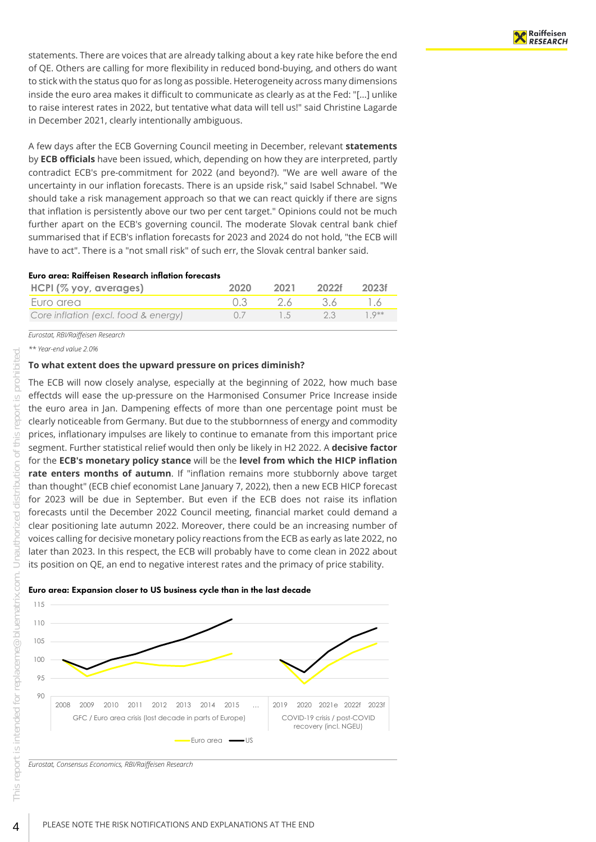statements. There are voices that are already talking about a key rate hike before the end of QE. Others are calling for more flexibility in reduced bond-buying, and others do want to stick with the status quo for as long as possible. Heterogeneity across many dimensions inside the euro area makes it difficult to communicate as clearly as at the Fed: "[...] unlike to raise interest rates in 2022, but tentative what data will tell us!" said Christine Lagarde in December 2021, clearly intentionally ambiguous.

A few days after the ECB Governing Council meeting in December, relevant **statements** by **ECB officials** have been issued, which, depending on how they are interpreted, partly contradict ECB's pre-commitment for 2022 (and beyond?). "We are well aware of the uncertainty in our inflation forecasts. There is an upside risk," said Isabel Schnabel. "We should take a risk management approach so that we can react quickly if there are signs that inflation is persistently above our two per cent target." Opinions could not be much further apart on the ECB's governing council. The moderate Slovak central bank chief summarised that if ECB's inflation forecasts for 2023 and 2024 do not hold, "the ECB will have to act". There is a "not small risk" of such err, the Slovak central banker said.

#### Euro area: Raiffeisen Research inflation forecasts

| HCPI (% yoy, averages)               | 2020 | 2021       | 2022f 2023f |                   |
|--------------------------------------|------|------------|-------------|-------------------|
| Euro area                            |      | - 26 - 36  |             |                   |
| Core inflation (excl. food & energy) |      | $\sqrt{5}$ | 23          | $1 \cdot 9^{***}$ |

*Eurostat, RBI/Raiffeisen Research*

*\*\* Year-end value 2.0%*

#### <span id="page-3-0"></span>**To what extent does the upward pressure on prices diminish?**

The ECB will now closely analyse, especially at the beginning of 2022, how much base effectds will ease the up-pressure on the Harmonised Consumer Price Increase inside the euro area in Jan. Dampening effects of more than one percentage point must be clearly noticeable from Germany. But due to the stubbornness of energy and commodity prices, inflationary impulses are likely to continue to emanate from this important price segment. Further statistical relief would then only be likely in H2 2022. A **decisive factor** for the **ECB's monetary policy stance** will be the **level from which the HICP inflation rate enters months of autumn**. If "inflation remains more stubbornly above target than thought" (ECB chief economist Lane January 7, 2022), then a new ECB HICP forecast for 2023 will be due in September. But even if the ECB does not raise its inflation forecasts until the December 2022 Council meeting, financial market could demand a clear positioning late autumn 2022. Moreover, there could be an increasing number of voices calling for decisive monetary policy reactions from the ECB as early as late 2022, no later than 2023. In this respect, the ECB will probably have to come clean in 2022 about its position on QE, an end to negative interest rates and the primacy of price stability.





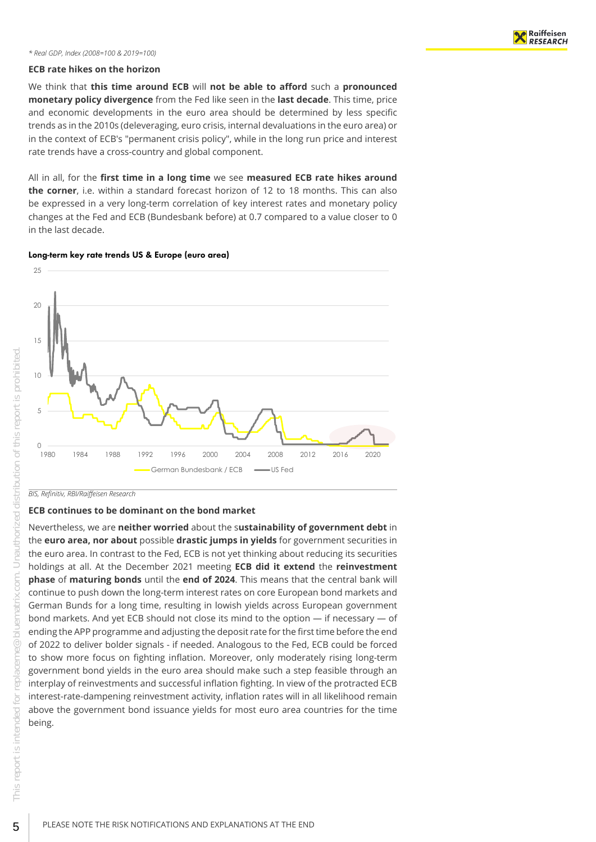#### *\* Real GDP, Index (2008=100 & 2019=100)*

#### <span id="page-4-0"></span>**ECB rate hikes on the horizon**

We think that **this time around ECB** will **not be able to afford** such a **pronounced monetary policy divergence** from the Fed like seen in the **last decade**. This time, price and economic developments in the euro area should be determined by less specific trends as in the 2010s (deleveraging, euro crisis, internal devaluations in the euro area) or in the context of ECB's "permanent crisis policy", while in the long run price and interest rate trends have a cross-country and global component.

All in all, for the **first time in a long time** we see **measured ECB rate hikes around the corner**, i.e. within a standard forecast horizon of 12 to 18 months. This can also be expressed in a very long-term correlation of key interest rates and monetary policy changes at the Fed and ECB (Bundesbank before) at 0.7 compared to a value closer to 0 in the last decade.

#### Long-term key rate trends US & Europe (euro area)



*BIS, Refinitiv, RBI/Raiffeisen Research*

#### <span id="page-4-1"></span>**ECB continues to be dominant on the bond market**

Nevertheless, we are **neither worried** about the s**ustainability of government debt** in the **euro area, nor about** possible **drastic jumps in yields** for government securities in the euro area. In contrast to the Fed, ECB is not yet thinking about reducing its securities holdings at all. At the December 2021 meeting **ECB did it extend** the **reinvestment phase** of **maturing bonds** until the **end of 2024**. This means that the central bank will continue to push down the long-term interest rates on core European bond markets and German Bunds for a long time, resulting in lowish yields across European government bond markets. And yet ECB should not close its mind to the option — if necessary — of ending the APP programme and adjusting the deposit rate for the first time before the end of 2022 to deliver bolder signals - if needed. Analogous to the Fed, ECB could be forced to show more focus on fighting inflation. Moreover, only moderately rising long-term government bond yields in the euro area should make such a step feasible through an interplay of reinvestments and successful inflation fighting. In view of the protracted ECB interest-rate-dampening reinvestment activity, inflation rates will in all likelihood remain above the government bond issuance yields for most euro area countries for the time being.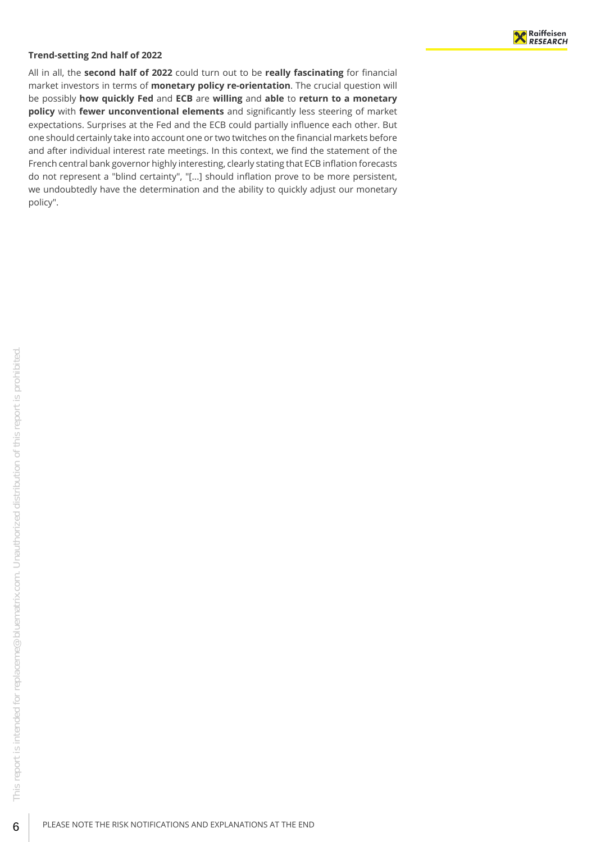#### <span id="page-5-0"></span>**Trend-setting 2nd half of 2022**

All in all, the **second half of 2022** could turn out to be **really fascinating** for financial market investors in terms of **monetary policy re-orientation**. The crucial question will be possibly **how quickly Fed** and **ECB** are **willing** and **able** to **return to a monetary policy** with **fewer unconventional elements** and significantly less steering of market expectations. Surprises at the Fed and the ECB could partially influence each other. But one should certainly take into account one or two twitches on the financial markets before and after individual interest rate meetings. In this context, we find the statement of the French central bank governor highly interesting, clearly stating that ECB inflation forecasts do not represent a "blind certainty", "[...] should inflation prove to be more persistent, we undoubtedly have the determination and the ability to quickly adjust our monetary policy".

6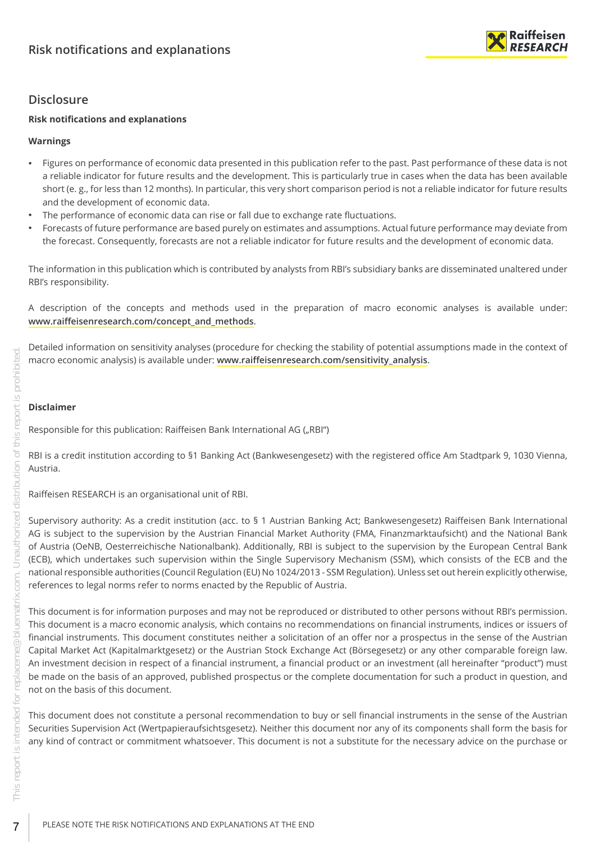

# <span id="page-6-0"></span>**Disclosure**

## **Risk notifications and explanations**

## **Warnings**

- Figures on performance of economic data presented in this publication refer to the past. Past performance of these data is not a reliable indicator for future results and the development. This is particularly true in cases when the data has been available short (e. g., for less than 12 months). In particular, this very short comparison period is not a reliable indicator for future results and the development of economic data.
- The performance of economic data can rise or fall due to exchange rate fluctuations.
- Forecasts of future performance are based purely on estimates and assumptions. Actual future performance may deviate from the forecast. Consequently, forecasts are not a reliable indicator for future results and the development of economic data.

The information in this publication which is contributed by analysts from RBI's subsidiary banks are disseminated unaltered under RBI's responsibility.

A description of the concepts and methods used in the preparation of macro economic analyses is available under: **[www.raiffeisenresearch.com/concept\\_and\\_methods](https://www.raiffeisenresearch.com/concept_and_methods)**.

Detailed information on sensitivity analyses (procedure for checking the stability of potential assumptions made in the context of macro economic analysis) is available under: **[www.raiffeisenresearch.com/sensitivity\\_analysis](https://www.raiffeisenresearch.com/sensitivity_analysis)**.

## **Disclaimer**

Responsible for this publication: Raiffeisen Bank International AG ("RBI")

RBI is a credit institution according to §1 Banking Act (Bankwesengesetz) with the registered office Am Stadtpark 9, 1030 Vienna, Austria.

Raiffeisen RESEARCH is an organisational unit of RBI.

Supervisory authority: As a credit institution (acc. to § 1 Austrian Banking Act; Bankwesengesetz) Raiffeisen Bank International AG is subject to the supervision by the Austrian Financial Market Authority (FMA, Finanzmarktaufsicht) and the National Bank of Austria (OeNB, Oesterreichische Nationalbank). Additionally, RBI is subject to the supervision by the European Central Bank (ECB), which undertakes such supervision within the Single Supervisory Mechanism (SSM), which consists of the ECB and the national responsible authorities (Council Regulation (EU) No 1024/2013 - SSM Regulation). Unless set out herein explicitly otherwise, references to legal norms refer to norms enacted by the Republic of Austria.

This document is for information purposes and may not be reproduced or distributed to other persons without RBI's permission. This document is a macro economic analysis, which contains no recommendations on financial instruments, indices or issuers of financial instruments. This document constitutes neither a solicitation of an offer nor a prospectus in the sense of the Austrian Capital Market Act (Kapitalmarktgesetz) or the Austrian Stock Exchange Act (Börsegesetz) or any other comparable foreign law. An investment decision in respect of a financial instrument, a financial product or an investment (all hereinafter "product") must be made on the basis of an approved, published prospectus or the complete documentation for such a product in question, and not on the basis of this document.

This document does not constitute a personal recommendation to buy or sell financial instruments in the sense of the Austrian Securities Supervision Act (Wertpapieraufsichtsgesetz). Neither this document nor any of its components shall form the basis for any kind of contract or commitment whatsoever. This document is not a substitute for the necessary advice on the purchase or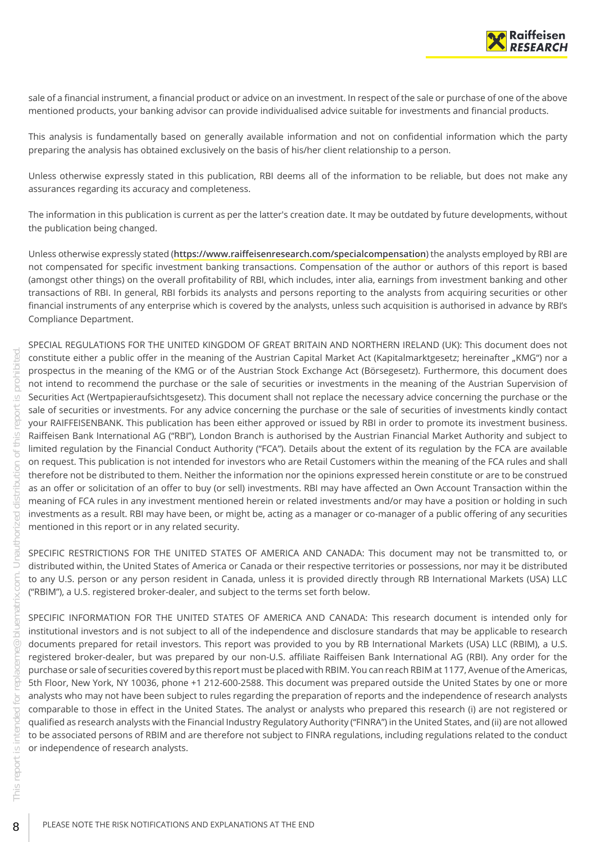

sale of a financial instrument, a financial product or advice on an investment. In respect of the sale or purchase of one of the above mentioned products, your banking advisor can provide individualised advice suitable for investments and financial products.

This analysis is fundamentally based on generally available information and not on confidential information which the party preparing the analysis has obtained exclusively on the basis of his/her client relationship to a person.

Unless otherwise expressly stated in this publication, RBI deems all of the information to be reliable, but does not make any assurances regarding its accuracy and completeness.

The information in this publication is current as per the latter's creation date. It may be outdated by future developments, without the publication being changed.

Unless otherwise expressly stated (**<https://www.raiffeisenresearch.com/specialcompensation>**) the analysts employed by RBI are not compensated for specific investment banking transactions. Compensation of the author or authors of this report is based (amongst other things) on the overall profitability of RBI, which includes, inter alia, earnings from investment banking and other transactions of RBI. In general, RBI forbids its analysts and persons reporting to the analysts from acquiring securities or other financial instruments of any enterprise which is covered by the analysts, unless such acquisition is authorised in advance by RBI's Compliance Department.

SPECIAL REGULATIONS FOR THE UNITED KINGDOM OF GREAT BRITAIN AND NORTHERN IRELAND (UK): This document does not constitute either a public offer in the meaning of the Austrian Capital Market Act (Kapitalmarktgesetz; hereinafter "KMG") nor a prospectus in the meaning of the KMG or of the Austrian Stock Exchange Act (Börsegesetz). Furthermore, this document does not intend to recommend the purchase or the sale of securities or investments in the meaning of the Austrian Supervision of Securities Act (Wertpapieraufsichtsgesetz). This document shall not replace the necessary advice concerning the purchase or the sale of securities or investments. For any advice concerning the purchase or the sale of securities of investments kindly contact your RAIFFEISENBANK. This publication has been either approved or issued by RBI in order to promote its investment business. Raiffeisen Bank International AG ("RBI"), London Branch is authorised by the Austrian Financial Market Authority and subject to limited regulation by the Financial Conduct Authority ("FCA"). Details about the extent of its regulation by the FCA are available on request. This publication is not intended for investors who are Retail Customers within the meaning of the FCA rules and shall therefore not be distributed to them. Neither the information nor the opinions expressed herein constitute or are to be construed as an offer or solicitation of an offer to buy (or sell) investments. RBI may have affected an Own Account Transaction within the meaning of FCA rules in any investment mentioned herein or related investments and/or may have a position or holding in such investments as a result. RBI may have been, or might be, acting as a manager or co-manager of a public offering of any securities mentioned in this report or in any related security.

SPECIFIC RESTRICTIONS FOR THE UNITED STATES OF AMERICA AND CANADA: This document may not be transmitted to, or distributed within, the United States of America or Canada or their respective territories or possessions, nor may it be distributed to any U.S. person or any person resident in Canada, unless it is provided directly through RB International Markets (USA) LLC ("RBIM"), a U.S. registered broker-dealer, and subject to the terms set forth below.

SPECIFIC INFORMATION FOR THE UNITED STATES OF AMERICA AND CANADA: This research document is intended only for institutional investors and is not subject to all of the independence and disclosure standards that may be applicable to research documents prepared for retail investors. This report was provided to you by RB International Markets (USA) LLC (RBIM), a U.S. registered broker-dealer, but was prepared by our non-U.S. affiliate Raiffeisen Bank International AG (RBI). Any order for the purchase or sale of securities covered by this report must be placed with RBIM. You can reach RBIM at 1177, Avenue of the Americas, 5th Floor, New York, NY 10036, phone +1 212-600-2588. This document was prepared outside the United States by one or more analysts who may not have been subject to rules regarding the preparation of reports and the independence of research analysts comparable to those in effect in the United States. The analyst or analysts who prepared this research (i) are not registered or qualified as research analysts with the Financial Industry Regulatory Authority ("FINRA") in the United States, and (ii) are not allowed to be associated persons of RBIM and are therefore not subject to FINRA regulations, including regulations related to the conduct or independence of research analysts.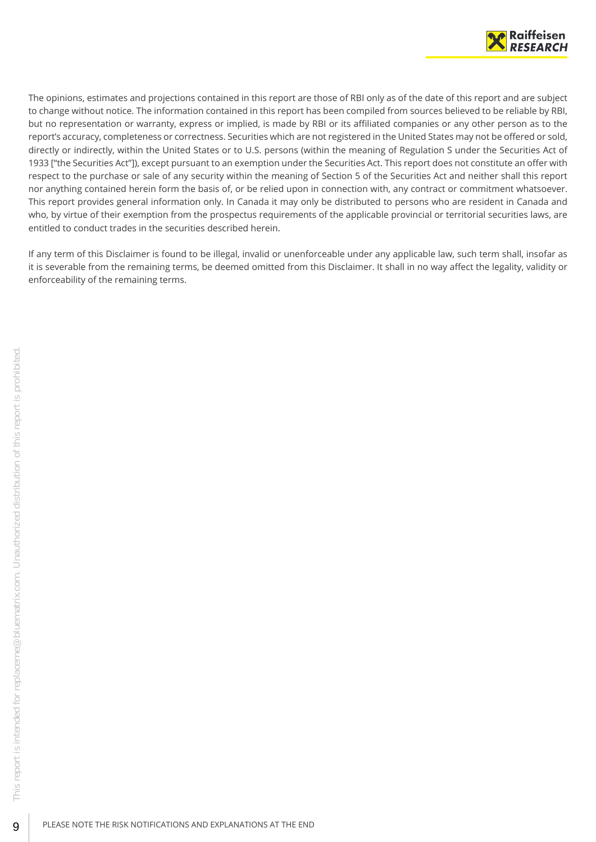

The opinions, estimates and projections contained in this report are those of RBI only as of the date of this report and are subject to change without notice. The information contained in this report has been compiled from sources believed to be reliable by RBI, but no representation or warranty, express or implied, is made by RBI or its affiliated companies or any other person as to the report's accuracy, completeness or correctness. Securities which are not registered in the United States may not be offered or sold, directly or indirectly, within the United States or to U.S. persons (within the meaning of Regulation S under the Securities Act of 1933 ["the Securities Act"]), except pursuant to an exemption under the Securities Act. This report does not constitute an offer with respect to the purchase or sale of any security within the meaning of Section 5 of the Securities Act and neither shall this report nor anything contained herein form the basis of, or be relied upon in connection with, any contract or commitment whatsoever. This report provides general information only. In Canada it may only be distributed to persons who are resident in Canada and who, by virtue of their exemption from the prospectus requirements of the applicable provincial or territorial securities laws, are entitled to conduct trades in the securities described herein.

If any term of this Disclaimer is found to be illegal, invalid or unenforceable under any applicable law, such term shall, insofar as it is severable from the remaining terms, be deemed omitted from this Disclaimer. It shall in no way affect the legality, validity or enforceability of the remaining terms.

9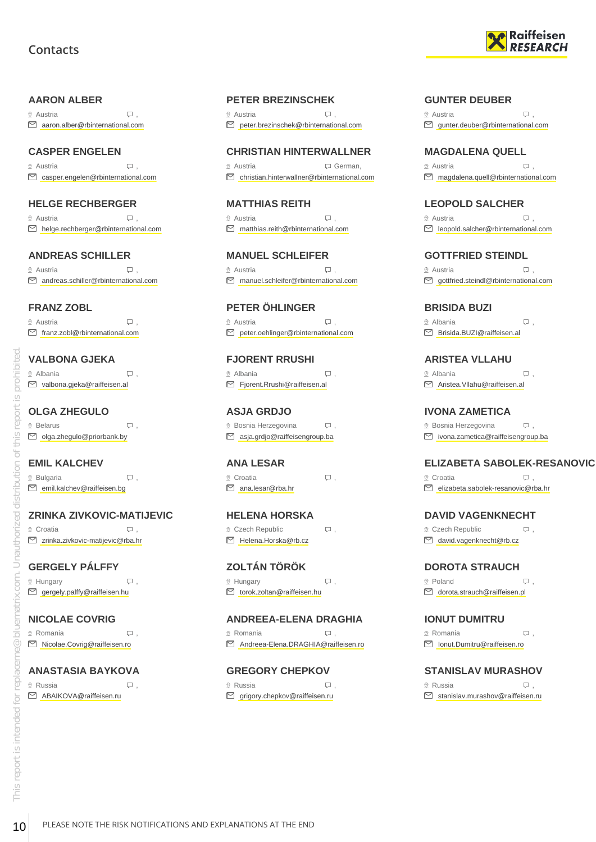# **Contacts**



#### <span id="page-9-0"></span>**AARON ALBER**

 $\Omega$  Austria  $\Box$ aaron.alber@rbinternational.com

## **CASPER ENGELEN**

 $\Omega$  Austria  $\Box$ casper.engelen@rbinternational.com

#### **HELGE RECHBERGER**

 $\circ$  Austria  $\Box$ helge.rechberger@rbinternational.com

#### **ANDREAS SCHILLER**

® Austria , Q . andreas.schiller@rbinternational.com

#### **FRANZ ZOBL**

 $\circ$  Austria  $\Box$ franz.zobl@rbinternational.com

## **VALBONA GJEKA**

 Albania , valbona.gjeka@raiffeisen.al

#### **OLGA ZHEGULO** ® Belarus , Q .

olga.zhegulo@priorbank.by

## **EMIL KALCHEV**

 $\Omega$  Bulgaria ,  $\Box$ emil.kalchev@raiffeisen.bg

#### **ZRINKA ZIVKOVIC-MATIJEVIC**

 Croatia , zrinka.zivkovic-matijevic@rba.hr

## **GERGELY PÁLFFY**

 $\mathcal{Q}$  Hungary  $\qquad \qquad \nabla$ ,  $\Box$  gergely.palffy@raiffeisen.hu

#### **NICOLAE COVRIG**

 Romania , Nicolae.Covrig@raiffeisen.ro

#### **ANASTASIA BAYKOVA**

 $\Omega$  Russia  $\Box$ ABAIKOVA@raiffeisen.ru

#### **PETER BREZINSCHEK**

 $\Omega$  Austria ,  $\Omega$ peter.brezinschek@rbinternational.com

#### **CHRISTIAN HINTERWALLNER**

 Austria German, christian.hinterwallner@rbinternational.com

**MATTHIAS REITH**  $\circ$  Austria  $\Box$ matthias.reith@rbinternational.com

**MANUEL SCHLEIFER** Austria , manuel.schleifer@rbinternational.com

**PETER ÖHLINGER**  $\circ$  Austria  $\qquad \qquad \Box$ ■ peter.oehlinger@rbinternational.com

**FJORENT RRUSHI** Albania , Fjorent.Rrushi@raiffeisen.al

## **ASJA GRDJO**

 $\Omega$  Bosnia Herzegovina  $\Box$ asja.grdjo@raiffeisengroup.ba

#### **ANA LESAR**  $\Omega$  Croatia  $\Box$

ana.lesar@rba.hr

# **HELENA HORSKA**

 $Q$  Czech Republic  $Q$ , Helena.Horska@rb.cz

## **ZOLTÁN TÖRÖK**

 $\mathcal{Q}$  Hungary  $\qquad \qquad \Box$ torok.zoltan@raiffeisen.hu

## **ANDREEA-ELENA DRAGHIA**

® Romania , Q . Andreea-Elena.DRAGHIA@raiffeisen.ro

## **GREGORY CHEPKOV**

 $\Omega$  Russia ,  $\Omega$  ,  $\Omega$  $\Box$  grigory.chepkov@raiffeisen.ru

#### **GUNTER DEUBER**

 $\Omega$  Austria  $\Box$ gunter.deuber@rbinternational.com

#### **MAGDALENA QUELL**

 $\circ$  Austria  $\Box$ magdalena.quell@rbinternational.com

## **LEOPOLD SALCHER**

 $\circ$  Austria  $\Box$ leopold.salcher@rbinternational.com

#### **GOTTFRIED STEINDL**

© Austria , Q .  $\Box$  gottfried.steindl@rbinternational.com

# **BRISIDA BUZI**

 $\circ$  Albania  $\qquad \qquad \Box$  $\boxdot$  Brisida BUZI@raiffeisen al

## **ARISTEA VLLAHU**

 Albania , Aristea.Vllahu@raiffeisen.al

# **IVONA ZAMETICA**

**Bosnia Herzegovina**  $\Box$ , ivona.zametica@raiffeisengroup.ba

#### **ELIZABETA SABOLEK-RESANOVIC**

 $\Omega$  Croatia  $\Box$ elizabeta.sabolek-resanovic@rba.hr

#### **DAVID VAGENKNECHT**

 $Q$  Czech Republic  $Q$ , david.vagenknecht@rb.cz

# **DOROTA STRAUCH**

® Poland , Q dorota.strauch@raiffeisen.pl

## **IONUT DUMITRU**

 Romania , Ionut.Dumitru@raiffeisen.ro

# **STANISLAV MURASHOV**

 $\Omega$  Russia ,  $\Box$  $\boxdot$  stanislav.murashov@raiffeisen.ru